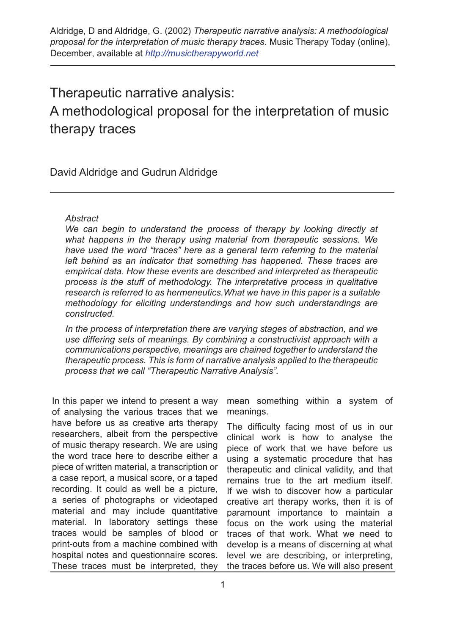# Therapeutic narrative analysis: A methodological proposal for the interpretation of music therapy traces

David Aldridge and Gudrun Aldridge

#### *Abstract*

We can begin to understand the process of therapy by looking directly at *what happens in the therapy using material from therapeutic sessions. We have used the word "traces" here as a general term referring to the material*  left behind as an indicator that something has happened. These traces are *empirical data. How these events are described and interpreted as therapeutic process is the stuff of methodology. The interpretative process in qualitative research is referred to as hermeneutics.What we have in this paper is a suitable methodology for eliciting understandings and how such understandings are constructed.*

*In the process of interpretation there are varying stages of abstraction, and we use differing sets of meanings. By combining a constructivist approach with a communications perspective, meanings are chained together to understand the therapeutic process. This is form of narrative analysis applied to the therapeutic process that we call "Therapeutic Narrative Analysis".*

In this paper we intend to present a way of analysing the various traces that we have before us as creative arts therapy researchers, albeit from the perspective of music therapy research. We are using the word trace here to describe either a piece of written material, a transcription or a case report, a musical score, or a taped recording. It could as well be a picture, a series of photographs or videotaped material and may include quantitative material. In laboratory settings these traces would be samples of blood or print-outs from a machine combined with hospital notes and questionnaire scores. These traces must be interpreted, they

mean something within a system of meanings.

The difficulty facing most of us in our clinical work is how to analyse the piece of work that we have before us using a systematic procedure that has therapeutic and clinical validity, and that remains true to the art medium itself. If we wish to discover how a particular creative art therapy works, then it is of paramount importance to maintain a focus on the work using the material traces of that work. What we need to develop is a means of discerning at what level we are describing, or interpreting, the traces before us. We will also present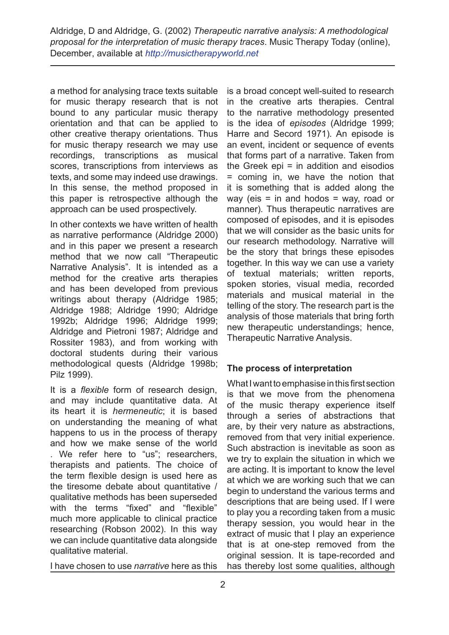a method for analysing trace texts suitable for music therapy research that is not bound to any particular music therapy orientation and that can be applied to other creative therapy orientations. Thus for music therapy research we may use recordings, transcriptions as musical scores, transcriptions from interviews as texts, and some may indeed use drawings. In this sense, the method proposed in this paper is retrospective although the approach can be used prospectively.

In other contexts we have written of health as narrative performance (Aldridge 2000) and in this paper we present a research method that we now call "Therapeutic Narrative Analysis". It is intended as a method for the creative arts therapies and has been developed from previous writings about therapy (Aldridge 1985; Aldridge 1988; Aldridge 1990; Aldridge 1992b; Aldridge 1996; Aldridge 1999; Aldridge and Pietroni 1987; Aldridge and Rossiter 1983), and from working with doctoral students during their various methodological quests (Aldridge 1998b; Pilz 1999).

It is a *flexible* form of research design, and may include quantitative data. At its heart it is *hermeneutic*; it is based on understanding the meaning of what happens to us in the process of therapy and how we make sense of the world . We refer here to "us"; researchers, therapists and patients. The choice of the term flexible design is used here as the tiresome debate about quantitative / qualitative methods has been superseded with the terms "fixed" and "flexible" much more applicable to clinical practice researching (Robson 2002). In this way we can include quantitative data alongside qualitative material.

I have chosen to use *narrative* here as this

is a broad concept well-suited to research in the creative arts therapies. Central to the narrative methodology presented is the idea of *episodes* (Aldridge 1999; Harre and Secord 1971)*.* An episode is an event, incident or sequence of events that forms part of a narrative. Taken from the Greek  $epi = in$  addition and eisodios = coming in, we have the notion that it is something that is added along the way (eis = in and hodos = way, road or manner)*.* Thus therapeutic narratives are composed of episodes, and it is episodes that we will consider as the basic units for our research methodology. Narrative will be the story that brings these episodes together. In this way we can use a variety of textual materials; written reports, spoken stories, visual media, recorded materials and musical material in the telling of the story. The research part is the analysis of those materials that bring forth new therapeutic understandings; hence, Therapeutic Narrative Analysis.

# **The process of interpretation**

What I want to emphasise in this first section is that we move from the phenomena of the music therapy experience itself through a series of abstractions that are, by their very nature as abstractions, removed from that very initial experience. Such abstraction is inevitable as soon as we try to explain the situation in which we are acting. It is important to know the level at which we are working such that we can begin to understand the various terms and descriptions that are being used. If I were to play you a recording taken from a music therapy session, you would hear in the extract of music that I play an experience that is at one-step removed from the original session. It is tape-recorded and has thereby lost some qualities, although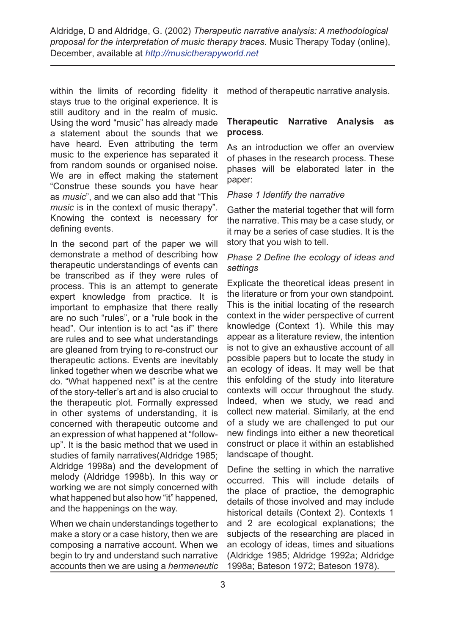within the limits of recording fidelity it stays true to the original experience. It is still auditory and in the realm of music. Using the word "music" has already made a statement about the sounds that we have heard. Even attributing the term music to the experience has separated it from random sounds or organised noise. We are in effect making the statement "Construe these sounds you have hear as *music*", and we can also add that "This *music* is in the context of music therapy". Knowing the context is necessary for defining events.

In the second part of the paper we will demonstrate a method of describing how therapeutic understandings of events can be transcribed as if they were rules of process. This is an attempt to generate expert knowledge from practice. It is important to emphasize that there really are no such "rules", or a "rule book in the head". Our intention is to act "as if" there are rules and to see what understandings are gleaned from trying to re-construct our therapeutic actions. Events are inevitably linked together when we describe what we do. "What happened next" is at the centre of the story-teller's art and is also crucial to the therapeutic plot. Formally expressed in other systems of understanding, it is concerned with therapeutic outcome and an expression of what happened at "followup". It is the basic method that we used in studies of family narratives(Aldridge 1985; Aldridge 1998a) and the development of melody (Aldridge 1998b). In this way or working we are not simply concerned with what happened but also how "it" happened, and the happenings on the way.

When we chain understandings together to make a story or a case history, then we are composing a narrative account. When we begin to try and understand such narrative accounts then we are using a *hermeneutic*

method of therapeutic narrative analysis.

# **Therapeutic Narrative Analysis as process***.*

As an introduction we offer an overview of phases in the research process. These phases will be elaborated later in the paper:

#### *Phase 1 Identify the narrative*

Gather the material together that will form the narrative. This may be a case study, or it may be a series of case studies. It is the story that you wish to tell.

#### *Phase 2 Define the ecology of ideas and settings*

Explicate the theoretical ideas present in the literature or from your own standpoint. This is the initial locating of the research context in the wider perspective of current knowledge (Context 1). While this may appear as a literature review, the intention is not to give an exhaustive account of all possible papers but to locate the study in an ecology of ideas. It may well be that this enfolding of the study into literature contexts will occur throughout the study. Indeed, when we study, we read and collect new material. Similarly, at the end of a study we are challenged to put our new findings into either a new theoretical construct or place it within an established landscape of thought.

Define the setting in which the narrative occurred. This will include details of the place of practice, the demographic details of those involved and may include historical details (Context 2). Contexts 1 and 2 are ecological explanations; the subjects of the researching are placed in an ecology of ideas, times and situations (Aldridge 1985; Aldridge 1992a; Aldridge 1998a; Bateson 1972; Bateson 1978).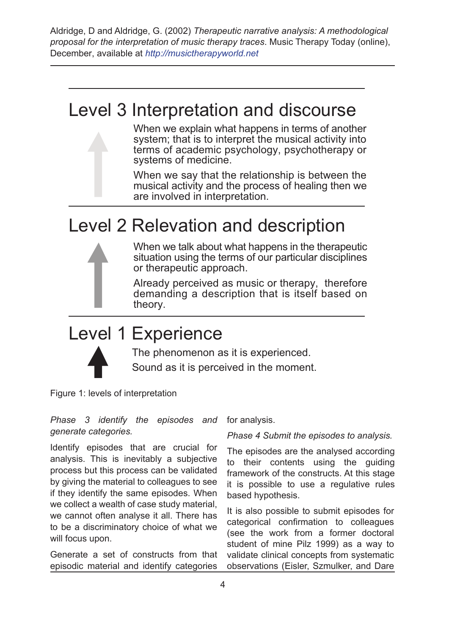# Level 3 Interpretation and discourse

When we explain what happens in terms of another system: that is to interpret the musical activity into terms of academic psychology, psychotherapy or systems of medicine.

When we say that the relationship is between the musical activity and the process of healing then we are involved in interpretation.

# Level 2 Relevation and description

When we talk about what happens in the therapeutic situation using the terms of our particular disciplines or therapeutic approach.

Already perceived as music or therapy, therefore demanding a description that is itself based on theory.

# **Level 1 Experience**



The phenomenon as it is experienced. Sound as it is perceived in the moment.

Figure 1: levels of interpretation

Phase 3 identify the episodes and generate categories.

Identify episodes that are crucial for analysis. This is inevitably a subjective process but this process can be validated by giving the material to colleagues to see if they identify the same episodes. When we collect a wealth of case study material, we cannot often analyse it all. There has to be a discriminatory choice of what we will focus upon.

Generate a set of constructs from that episodic material and identify categories

for analysis.

Phase 4 Submit the episodes to analysis.

The episodes are the analysed according to their contents using the guiding framework of the constructs. At this stage it is possible to use a regulative rules based hypothesis.

It is also possible to submit episodes for categorical confirmation to colleagues (see the work from a former doctoral student of mine Pilz 1999) as a way to validate clinical concepts from systematic observations (Eisler, Szmulker, and Dare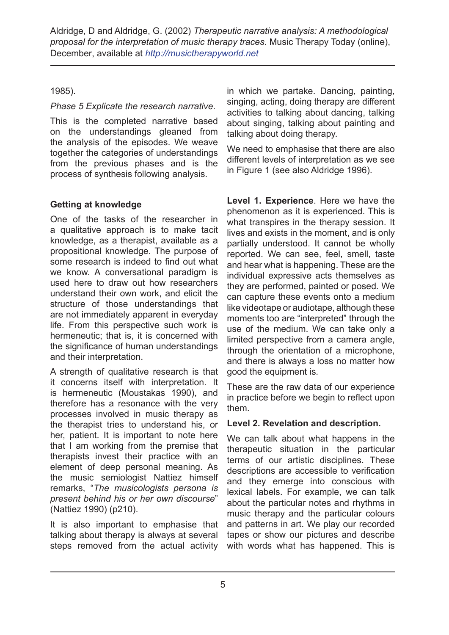# 1985).

# *Phase 5 Explicate the research narrative*.

This is the completed narrative based on the understandings gleaned from the analysis of the episodes. We weave together the categories of understandings from the previous phases and is the process of synthesis following analysis.

# **Getting at knowledge**

One of the tasks of the researcher in a qualitative approach is to make tacit knowledge, as a therapist, available as a propositional knowledge. The purpose of some research is indeed to find out what we know. A conversational paradigm is used here to draw out how researchers understand their own work, and elicit the structure of those understandings that are not immediately apparent in everyday life. From this perspective such work is hermeneutic; that is, it is concerned with the significance of human understandings and their interpretation.

A strength of qualitative research is that it concerns itself with interpretation. It is hermeneutic (Moustakas 1990), and therefore has a resonance with the very processes involved in music therapy as the therapist tries to understand his, or her, patient. It is important to note here that I am working from the premise that therapists invest their practice with an element of deep personal meaning. As the music semiologist Nattiez himself remarks, "*The musicologists persona is present behind his or her own discourse*" (Nattiez 1990) (p210).

It is also important to emphasise that talking about therapy is always at several steps removed from the actual activity in which we partake. Dancing, painting, singing, acting, doing therapy are different activities to talking about dancing, talking about singing, talking about painting and talking about doing therapy.

We need to emphasise that there are also different levels of interpretation as we see in Figure 1 (see also Aldridge 1996).

**Level 1. Experience**. Here we have the phenomenon as it is experienced. This is what transpires in the therapy session. It lives and exists in the moment, and is only partially understood. It cannot be wholly reported. We can see, feel, smell, taste and hear what is happening. These are the individual expressive acts themselves as they are performed, painted or posed*.* We can capture these events onto a medium like videotape or audiotape, although these moments too are "interpreted" through the use of the medium. We can take only a limited perspective from a camera angle, through the orientation of a microphone, and there is always a loss no matter how good the equipment is*.*

These are the raw data of our experience in practice before we begin to reflect upon them.

#### **Level 2. Revelation and description.**

We can talk about what happens in the therapeutic situation in the particular terms of our artistic disciplines. These descriptions are accessible to verification and they emerge into conscious with lexical labels. For example, we can talk about the particular notes and rhythms in music therapy and the particular colours and patterns in art. We play our recorded tapes or show our pictures and describe with words what has happened. This is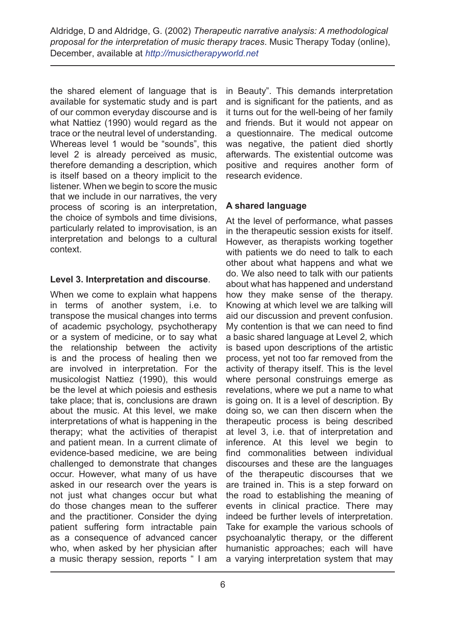the shared element of language that is available for systematic study and is part of our common everyday discourse and is what Nattiez (1990) would regard as the trace or the neutral level of understanding. Whereas level 1 would be "sounds", this level 2 is already perceived as music, therefore demanding a description, which is itself based on a theory implicit to the listener. When we begin to score the music that we include in our narratives, the very process of scoring is an interpretation, the choice of symbols and time divisions, particularly related to improvisation, is an interpretation and belongs to a cultural context.

#### **Level 3. Interpretation and discourse**.

When we come to explain what happens in terms of another system, i.e. to transpose the musical changes into terms of academic psychology, psychotherapy or a system of medicine, or to say what the relationship between the activity is and the process of healing then we are involved in interpretation. For the musicologist Nattiez (1990), this would be the level at which poiesis and esthesis take place; that is, conclusions are drawn about the music. At this level, we make interpretations of what is happening in the therapy; what the activities of therapist and patient mean. In a current climate of evidence-based medicine, we are being challenged to demonstrate that changes occur. However, what many of us have asked in our research over the years is not just what changes occur but what do those changes mean to the sufferer and the practitioner. Consider the dying patient suffering form intractable pain as a consequence of advanced cancer who, when asked by her physician after a music therapy session, reports " I am

in Beauty". This demands interpretation and is significant for the patients, and as it turns out for the well-being of her family and friends. But it would not appear on a questionnaire. The medical outcome was negative, the patient died shortly afterwards. The existential outcome was positive and requires another form of research evidence.

# **A shared language**

At the level of performance, what passes in the therapeutic session exists for itself. However, as therapists working together with patients we do need to talk to each other about what happens and what we do. We also need to talk with our patients about what has happened and understand how they make sense of the therapy. Knowing at which level we are talking will aid our discussion and prevent confusion. My contention is that we can need to find a basic shared language at Level 2*,* which is based upon descriptions of the artistic process, yet not too far removed from the activity of therapy itself. This is the level where personal construings emerge as revelations, where we put a name to what is going on. It is a level of description. By doing so, we can then discern when the therapeutic process is being described at level 3, i.e. that of interpretation and inference. At this level we begin to find commonalities between individual discourses and these are the languages of the therapeutic discourses that we are trained in. This is a step forward on the road to establishing the meaning of events in clinical practice. There may indeed be further levels of interpretation. Take for example the various schools of psychoanalytic therapy, or the different humanistic approaches; each will have a varying interpretation system that may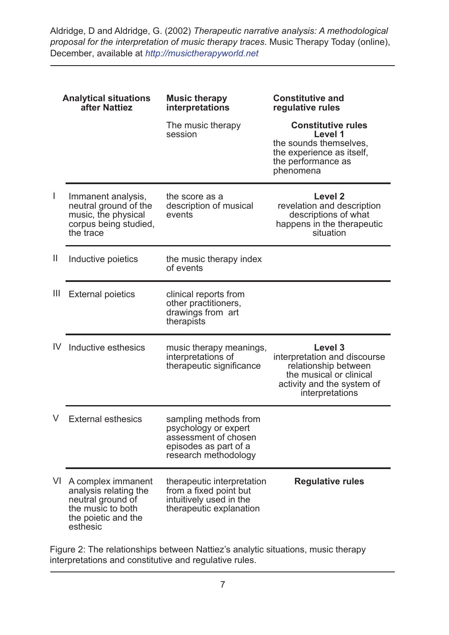| <b>Analytical situations</b><br>after Nattiez |                                                                                                                          | <b>Music therapy</b><br>interpretations                                                                                | <b>Constitutive and</b><br>regulative rules                                                                                                            |  |  |  |
|-----------------------------------------------|--------------------------------------------------------------------------------------------------------------------------|------------------------------------------------------------------------------------------------------------------------|--------------------------------------------------------------------------------------------------------------------------------------------------------|--|--|--|
|                                               |                                                                                                                          | The music therapy<br>session                                                                                           | <b>Constitutive rules</b><br>Level 1<br>the sounds themselves,<br>the experience as itself,<br>the performance as<br>phenomena                         |  |  |  |
| I                                             | Immanent analysis,<br>neutral ground of the<br>music, the physical<br>corpus being studied,<br>the trace                 | the score as a<br>description of musical<br>events                                                                     | Level <sub>2</sub><br>revelation and description<br>descriptions of what<br>happens in the therapeutic<br>situation                                    |  |  |  |
| Ш                                             | Inductive poietics                                                                                                       | the music therapy index<br>of events                                                                                   |                                                                                                                                                        |  |  |  |
| Ш                                             | <b>External poietics</b>                                                                                                 | clinical reports from<br>other practitioners,<br>drawings from art<br>therapists                                       |                                                                                                                                                        |  |  |  |
| IV.                                           | Inductive esthesics                                                                                                      | music therapy meanings,<br>interpretations of<br>therapeutic significance                                              | Level <sub>3</sub><br>interpretation and discourse<br>relationship between<br>the musical or clinical<br>activity and the system of<br>interpretations |  |  |  |
| V                                             | <b>External esthesics</b>                                                                                                | sampling methods from<br>psychology or expert<br>assessment of chosen<br>episodes as part of a<br>research methodology |                                                                                                                                                        |  |  |  |
| VL                                            | A complex immanent<br>analysis relating the<br>neutral ground of<br>the music to both<br>the poietic and the<br>esthesic | therapeutic interpretation<br>from a fixed point but<br>intuitively used in the<br>therapeutic explanation             | <b>Regulative rules</b>                                                                                                                                |  |  |  |

Figure 2: The relationships between Nattiez's analytic situations, music therapy interpretations and constitutive and regulative rules.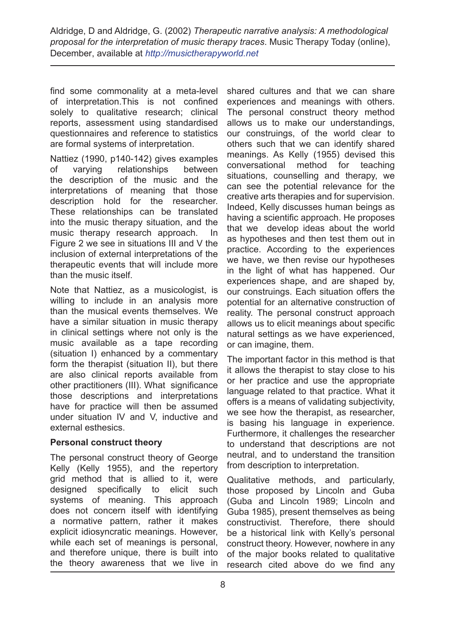find some commonality at a meta-level of interpretation.This is not confined solely to qualitative research; clinical reports, assessment using standardised questionnaires and reference to statistics are formal systems of interpretation.

Nattiez (1990, p140-142) gives examples of varying relationships between the description of the music and the interpretations of meaning that those description hold for the researcher. These relationships can be translated into the music therapy situation, and the music therapy research approach. In Figure 2 we see in situations III and V the inclusion of external interpretations of the therapeutic events that will include more than the music itself.

Note that Nattiez, as a musicologist, is willing to include in an analysis more than the musical events themselves. We have a similar situation in music therapy in clinical settings where not only is the music available as a tape recording (situation I) enhanced by a commentary form the therapist (situation II), but there are also clinical reports available from other practitioners (III). What significance those descriptions and interpretations have for practice will then be assumed under situation IV and V, inductive and external esthesics.

#### **Personal construct theory**

The personal construct theory of George Kelly (Kelly 1955), and the repertory grid method that is allied to it, were designed specifically to elicit such systems of meaning. This approach does not concern itself with identifying a normative pattern, rather it makes explicit idiosyncratic meanings. However, while each set of meanings is personal, and therefore unique, there is built into the theory awareness that we live in

shared cultures and that we can share experiences and meanings with others. The personal construct theory method allows us to make our understandings, our construings, of the world clear to others such that we can identify shared meanings. As Kelly (1955) devised this conversational method for teaching situations, counselling and therapy, we can see the potential relevance for the creative arts therapies and for supervision. Indeed, Kelly discusses human beings as having a scientific approach. He proposes that we develop ideas about the world as hypotheses and then test them out in practice. According to the experiences we have, we then revise our hypotheses in the light of what has happened. Our experiences shape, and are shaped by, our construings. Each situation offers the potential for an alternative construction of reality. The personal construct approach allows us to elicit meanings about specific natural settings as we have experienced, or can imagine, them.

The important factor in this method is that it allows the therapist to stay close to his or her practice and use the appropriate language related to that practice. What it offers is a means of validating subjectivity, we see how the therapist, as researcher, is basing his language in experience. Furthermore, it challenges the researcher to understand that descriptions are not neutral, and to understand the transition from description to interpretation.

Qualitative methods, and particularly, those proposed by Lincoln and Guba (Guba and Lincoln 1989; Lincoln and Guba 1985), present themselves as being constructivist. Therefore, there should be a historical link with Kelly's personal construct theory. However, nowhere in any of the major books related to qualitative research cited above do we find any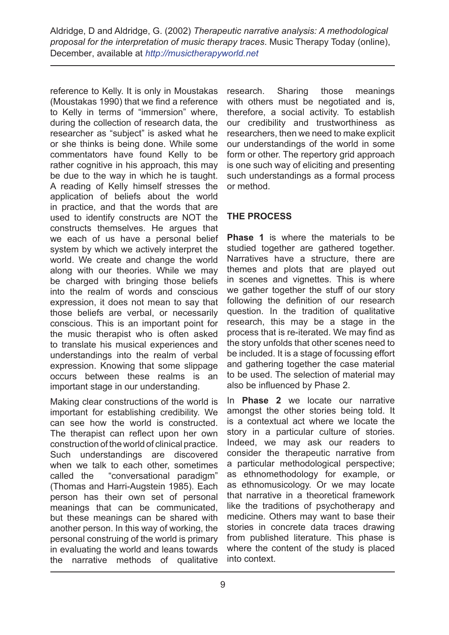reference to Kelly. It is only in Moustakas (Moustakas 1990) that we find a reference to Kelly in terms of "immersion" where, during the collection of research data, the researcher as "subject" is asked what he or she thinks is being done. While some commentators have found Kelly to be rather cognitive in his approach, this may be due to the way in which he is taught. A reading of Kelly himself stresses the application of beliefs about the world in practice, and that the words that are used to identify constructs are NOT the constructs themselves. He argues that we each of us have a personal belief system by which we actively interpret the world. We create and change the world along with our theories. While we may be charged with bringing those beliefs into the realm of words and conscious expression, it does not mean to say that those beliefs are verbal, or necessarily conscious. This is an important point for the music therapist who is often asked to translate his musical experiences and understandings into the realm of verbal expression. Knowing that some slippage occurs between these realms is an important stage in our understanding.

Making clear constructions of the world is important for establishing credibility. We can see how the world is constructed. The therapist can reflect upon her own construction of the world of clinical practice. Such understandings are discovered when we talk to each other, sometimes called the "conversational paradigm" (Thomas and Harri-Augstein 1985). Each person has their own set of personal meanings that can be communicated, but these meanings can be shared with another person. In this way of working, the personal construing of the world is primary in evaluating the world and leans towards the narrative methods of qualitative

research. Sharing those meanings with others must be negotiated and is, therefore, a social activity. To establish our credibility and trustworthiness as researchers, then we need to make explicit our understandings of the world in some form or other. The repertory grid approach is one such way of eliciting and presenting such understandings as a formal process or method.

# **THE PROCESS**

**Phase 1** is where the materials to be studied together are gathered together. Narratives have a structure, there are themes and plots that are played out in scenes and vignettes. This is where we gather together the stuff of our story following the definition of our research question. In the tradition of qualitative research, this may be a stage in the process that is re-iterated. We may find as the story unfolds that other scenes need to be included. It is a stage of focussing effort and gathering together the case material to be used. The selection of material may also be influenced by Phase 2.

In **Phase 2** we locate our narrative amongst the other stories being told. It is a contextual act where we locate the story in a particular culture of stories. Indeed, we may ask our readers to consider the therapeutic narrative from a particular methodological perspective; as ethnomethodology for example, or as ethnomusicology. Or we may locate that narrative in a theoretical framework like the traditions of psychotherapy and medicine. Others may want to base their stories in concrete data traces drawing from published literature. This phase is where the content of the study is placed into context.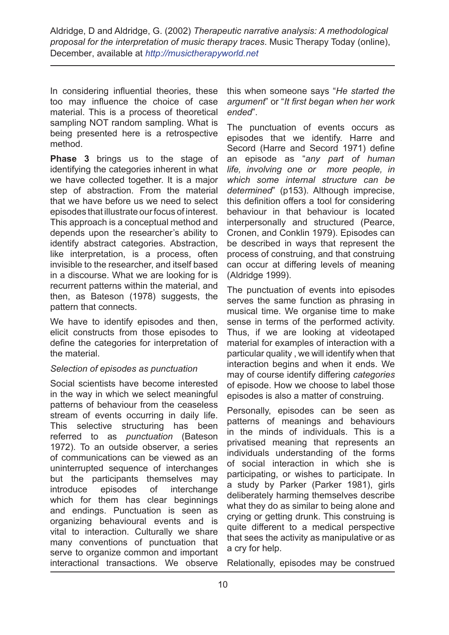In considering influential theories, these too may influence the choice of case material. This is a process of theoretical sampling NOT random sampling. What is being presented here is a retrospective method.

**Phase 3** brings us to the stage of identifying the categories inherent in what we have collected together. It is a major step of abstraction. From the material that we have before us we need to select episodes that illustrate our focus of interest. This approach is a conceptual method and depends upon the researcher's ability to identify abstract categories. Abstraction, like interpretation, is a process, often invisible to the researcher, and itself based in a discourse. What we are looking for is recurrent patterns within the material, and then, as Bateson (1978) suggests, the pattern that connects.

We have to identify episodes and then, elicit constructs from those episodes to define the categories for interpretation of the material.

#### *Selection of episodes as punctuation*

Social scientists have become interested in the way in which we select meaningful patterns of behaviour from the ceaseless stream of events occurring in daily life. This selective structuring has been referred to as *punctuation* (Bateson 1972). To an outside observer, a series of communications can be viewed as an uninterrupted sequence of interchanges but the participants themselves may introduce episodes of interchange which for them has clear beginnings and endings. Punctuation is seen as organizing behavioural events and is vital to interaction. Culturally we share many conventions of punctuation that serve to organize common and important interactional transactions. We observe

this when someone says "*He started the argument*" or "*It first began when her work ended*".

The punctuation of events occurs as episodes that we identify. Harre and Secord (Harre and Secord 1971) define an episode as "*any part of human life, involving one or more people, in which some internal structure can be determined*" (p153). Although imprecise, this definition offers a tool for considering behaviour in that behaviour is located interpersonally and structured (Pearce, Cronen, and Conklin 1979). Episodes can be described in ways that represent the process of construing, and that construing can occur at differing levels of meaning (Aldridge 1999).

The punctuation of events into episodes serves the same function as phrasing in musical time. We organise time to make sense in terms of the performed activity. Thus, if we are looking at videotaped material for examples of interaction with a particular quality , we will identify when that interaction begins and when it ends. We may of course identify differing *categories* of episode. How we choose to label those episodes is also a matter of construing.

Personally, episodes can be seen as patterns of meanings and behaviours in the minds of individuals. This is a privatised meaning that represents an individuals understanding of the forms of social interaction in which she is participating, or wishes to participate. In a study by Parker (Parker 1981), girls deliberately harming themselves describe what they do as similar to being alone and crying or getting drunk. This construing is quite different to a medical perspective that sees the activity as manipulative or as a cry for help.

Relationally, episodes may be construed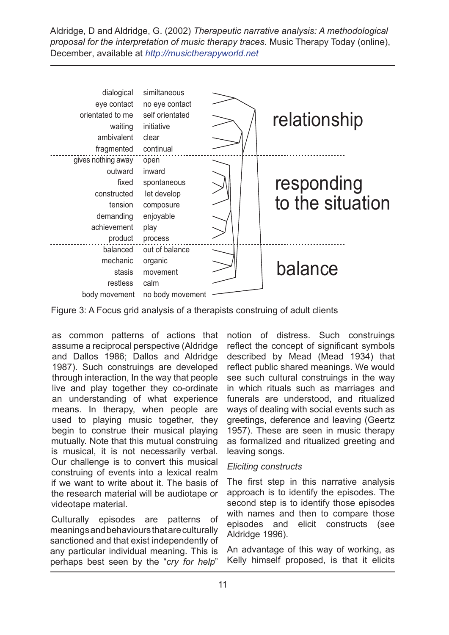| dialogical<br>eye contact<br>orientated to me<br>waiting | similtaneous<br>no eye contact<br>self orientated<br>initiative | relationship     |
|----------------------------------------------------------|-----------------------------------------------------------------|------------------|
| ambivalent                                               | clear                                                           |                  |
| fragmented                                               | continual                                                       |                  |
| gives nothing away                                       | open                                                            |                  |
| outward                                                  | inward                                                          |                  |
| fixed                                                    | spontaneous                                                     | responding       |
| constructed                                              | let develop                                                     |                  |
| tension                                                  | composure                                                       | to the situation |
| demanding                                                | enjoyable                                                       |                  |
| achievement                                              | play                                                            |                  |
| product                                                  | process                                                         |                  |
| balanced                                                 | out of balance                                                  |                  |
| mechanic                                                 | organic                                                         |                  |
| stasis                                                   | movement                                                        | balance          |
| restless                                                 | calm                                                            |                  |
| body movement                                            | no body movement                                                |                  |



as common patterns of actions that assume a reciprocal perspective (Aldridge and Dallos 1986; Dallos and Aldridge 1987). Such construings are developed through interaction, In the way that people live and play together they co-ordinate an understanding of what experience means. In therapy, when people are used to playing music together, they begin to construe their musical playing mutually. Note that this mutual construing is musical, it is not necessarily verbal. Our challenge is to convert this musical construing of events into a lexical realm if we want to write about it. The basis of the research material will be audiotape or videotape material.

Culturally episodes are patterns of meanings and behaviours that are culturally sanctioned and that exist independently of any particular individual meaning. This is perhaps best seen by the "cry for help"

notion of distress. Such construings reflect the concept of significant symbols described by Mead (Mead 1934) that reflect public shared meanings. We would see such cultural construings in the way in which rituals such as marriages and funerals are understood, and ritualized ways of dealing with social events such as greetings, deference and leaving (Geertz 1957). These are seen in music therapy as formalized and ritualized greeting and leaving songs.

# **Eliciting constructs**

The first step in this narrative analysis approach is to identify the episodes. The second step is to identify those episodes with names and then to compare those episodes and elicit constructs (see Aldridge 1996).

An advantage of this way of working, as Kelly himself proposed, is that it elicits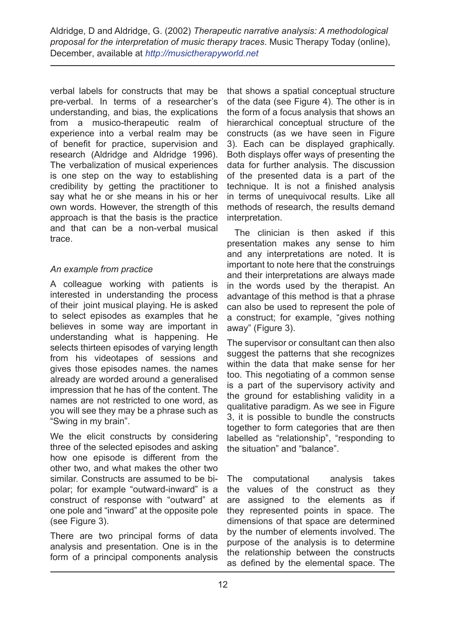verbal labels for constructs that may be pre-verbal. In terms of a researcher's understanding, and bias, the explications from a musico-therapeutic realm of experience into a verbal realm may be of benefit for practice, supervision and research (Aldridge and Aldridge 1996). The verbalization of musical experiences is one step on the way to establishing credibility by getting the practitioner to say what he or she means in his or her own words. However, the strength of this approach is that the basis is the practice and that can be a non-verbal musical trace.

# *An example from practice*

A colleague working with patients is interested in understanding the process of their joint musical playing. He is asked to select episodes as examples that he believes in some way are important in understanding what is happening. He selects thirteen episodes of varying length from his videotapes of sessions and gives those episodes names. the names already are worded around a generalised impression that he has of the content. The names are not restricted to one word, as you will see they may be a phrase such as "Swing in my brain".

We the elicit constructs by considering three of the selected episodes and asking how one episode is different from the other two, and what makes the other two similar. Constructs are assumed to be bipolar; for example "outward-inward" is a construct of response with "outward" at one pole and "inward" at the opposite pole (see Figure 3).

There are two principal forms of data analysis and presentation. One is in the form of a principal components analysis

that shows a spatial conceptual structure of the data (see Figure 4). The other is in the form of a focus analysis that shows an hierarchical conceptual structure of the constructs (as we have seen in Figure 3). Each can be displayed graphically. Both displays offer ways of presenting the data for further analysis. The discussion of the presented data is a part of the technique. It is not a finished analysis in terms of unequivocal results. Like all methods of research, the results demand interpretation.

 The clinician is then asked if this presentation makes any sense to him and any interpretations are noted. It is important to note here that the construings and their interpretations are always made in the words used by the therapist. An advantage of this method is that a phrase can also be used to represent the pole of a construct; for example, "gives nothing away" (Figure 3).

The supervisor or consultant can then also suggest the patterns that she recognizes within the data that make sense for her too. This negotiating of a common sense is a part of the supervisory activity and the ground for establishing validity in a qualitative paradigm. As we see in Figure 3, it is possible to bundle the constructs together to form categories that are then labelled as "relationship", "responding to the situation" and "balance".

The computational analysis takes the values of the construct as they are assigned to the elements as if they represented points in space. The dimensions of that space are determined by the number of elements involved. The purpose of the analysis is to determine the relationship between the constructs as defined by the elemental space. The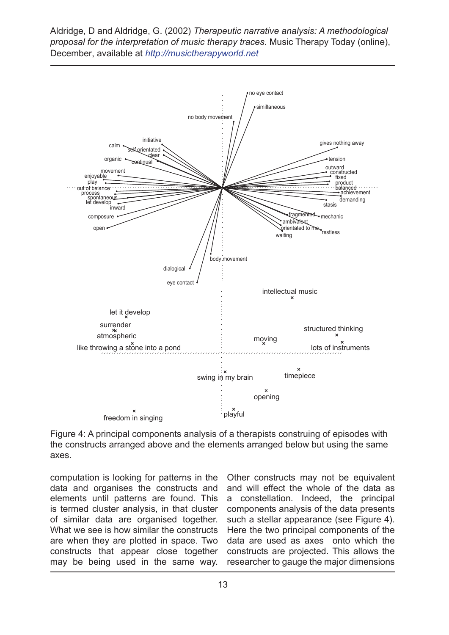

Figure 4: A principal components analysis of a therapists construing of episodes with the constructs arranged above and the elements arranged below but using the same axes.

computation is looking for patterns in the data and organises the constructs and elements until patterns are found. This is termed cluster analysis, in that cluster of similar data are organised together. What we see is how similar the constructs are when they are plotted in space. Two constructs that appear close together may be being used in the same way.

Other constructs may not be equivalent and will effect the whole of the data as a constellation. Indeed, the principal components analysis of the data presents such a stellar appearance (see Figure 4). Here the two principal components of the data are used as axes onto which the constructs are projected. This allows the researcher to gauge the major dimensions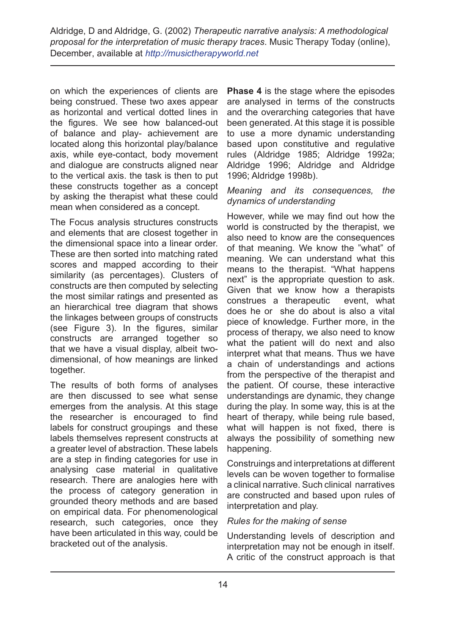on which the experiences of clients are being construed. These two axes appear as horizontal and vertical dotted lines in the figures. We see how balanced-out of balance and play- achievement are located along this horizontal play/balance axis, while eye-contact, body movement and dialogue are constructs aligned near to the vertical axis. the task is then to put these constructs together as a concept by asking the therapist what these could mean when considered as a concept.

The Focus analysis structures constructs and elements that are closest together in the dimensional space into a linear order. These are then sorted into matching rated scores and mapped according to their similarity (as percentages). Clusters of constructs are then computed by selecting the most similar ratings and presented as an hierarchical tree diagram that shows the linkages between groups of constructs (see Figure 3). In the figures, similar constructs are arranged together so that we have a visual display, albeit twodimensional, of how meanings are linked together.

The results of both forms of analyses are then discussed to see what sense emerges from the analysis. At this stage the researcher is encouraged to find labels for construct groupings and these labels themselves represent constructs at a greater level of abstraction. These labels are a step in finding categories for use in analysing case material in qualitative research. There are analogies here with the process of category generation in grounded theory methods and are based on empirical data. For phenomenological research, such categories, once they have been articulated in this way, could be bracketed out of the analysis.

**Phase 4** is the stage where the episodes are analysed in terms of the constructs and the overarching categories that have been generated. At this stage it is possible to use a more dynamic understanding based upon constitutive and regulative rules (Aldridge 1985; Aldridge 1992a; Aldridge 1996; Aldridge and Aldridge 1996; Aldridge 1998b).

#### *Meaning and its consequences, the dynamics of understanding*

However, while we may find out how the world is constructed by the therapist, we also need to know are the consequences of that meaning. We know the "what" of meaning. We can understand what this means to the therapist. "What happens next" is the appropriate question to ask. Given that we know how a therapists construes a therapeutic event, what does he or she do about is also a vital piece of knowledge. Further more, in the process of therapy, we also need to know what the patient will do next and also interpret what that means. Thus we have a chain of understandings and actions from the perspective of the therapist and the patient. Of course, these interactive understandings are dynamic, they change during the play. In some way, this is at the heart of therapy, while being rule based, what will happen is not fixed, there is always the possibility of something new happening.

Construings and interpretations at different levels can be woven together to formalise a clinical narrative. Such clinical narratives are constructed and based upon rules of interpretation and play.

#### *Rules for the making of sense*

Understanding levels of description and interpretation may not be enough in itself. A critic of the construct approach is that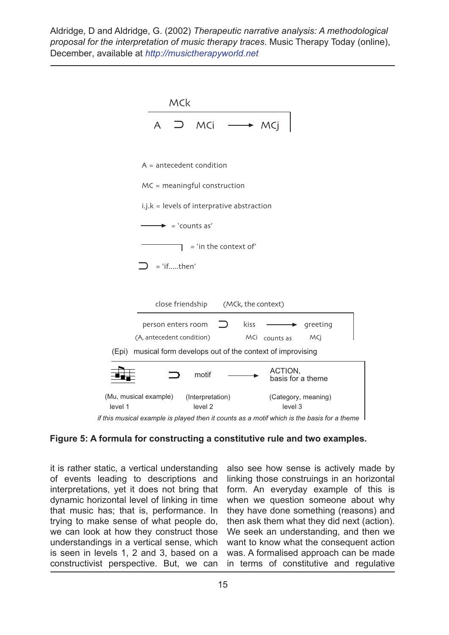

#### Figure 5: A formula for constructing a constitutive rule and two examples.

it is rather static, a vertical understanding of events leading to descriptions and interpretations, yet it does not bring that dynamic horizontal level of linking in time that music has; that is, performance. In trying to make sense of what people do, we can look at how they construct those understandings in a vertical sense, which is seen in levels 1, 2 and 3, based on a constructivist perspective. But, we can

also see how sense is actively made by linking those construings in an horizontal form. An everyday example of this is when we question someone about why they have done something (reasons) and then ask them what they did next (action). We seek an understanding, and then we want to know what the consequent action was. A formalised approach can be made in terms of constitutive and regulative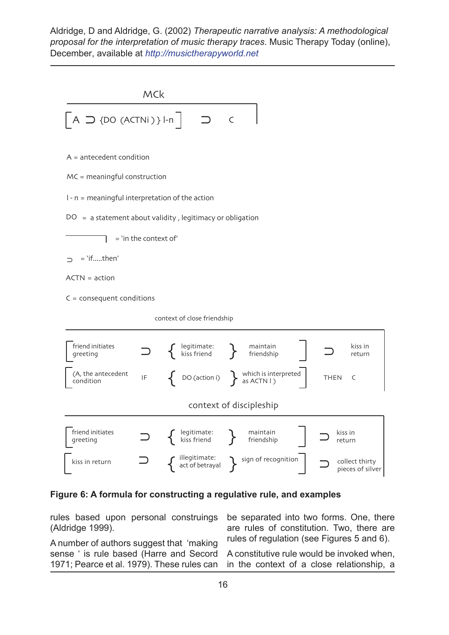

# **Figure 6: A formula for constructing a regulative rule, and examples**

rules based upon personal construings (Aldridge 1999).

A number of authors suggest that 'making sense ' is rule based (Harre and Secord 1971; Pearce et al. 1979). These rules can

be separated into two forms. One, there are rules of constitution. Two, there are rules of regulation (see Figures 5 and 6).

A constitutive rule would be invoked when, in the context of a close relationship, a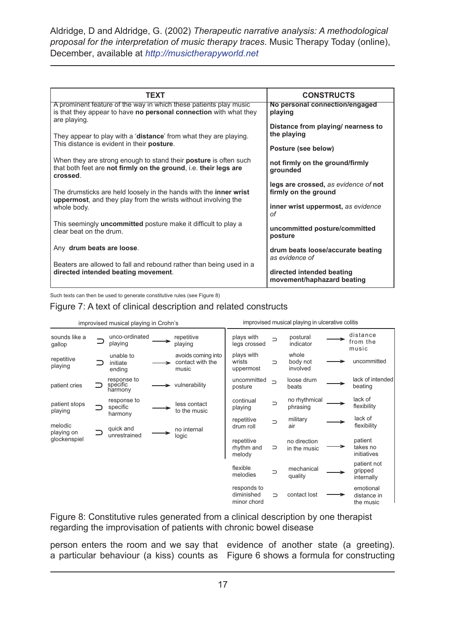| <b>TEXT</b>                                                                                                                                             | <b>CONSTRUCTS</b>                                            |  |  |
|---------------------------------------------------------------------------------------------------------------------------------------------------------|--------------------------------------------------------------|--|--|
| A prominent feature of the way in which these patients play music<br>is that they appear to have no personal connection with what they<br>are playing.  | No personal connection/engaged<br>playing                    |  |  |
| They appear to play with a 'distance' from what they are playing.<br>This distance is evident in their <b>posture</b> .                                 | Distance from playing/ nearness to<br>the playing            |  |  |
|                                                                                                                                                         | Posture (see below)                                          |  |  |
| When they are strong enough to stand their <b>posture</b> is often such<br>that both feet are not firmly on the ground, i.e. their legs are<br>crossed. | not firmly on the ground/firmly<br>grounded                  |  |  |
| The drumsticks are held loosely in the hands with the inner wrist<br><b>uppermost</b> , and they play from the wrists without involving the             | legs are crossed, as evidence of not<br>firmly on the ground |  |  |
| whole body.                                                                                                                                             | inner wrist uppermost, as evidence<br>οf                     |  |  |
| This seemingly <b>uncommitted</b> posture make it difficult to play a<br>clear beat on the drum.                                                        | uncommitted posture/committed<br>posture                     |  |  |
| Any drum beats are loose.                                                                                                                               | drum beats loose/accurate beating<br>as evidence of          |  |  |
| Beaters are allowed to fall and rebound rather than being used in a<br>directed intended beating movement.                                              | directed intended beating<br>movement/haphazard beating      |  |  |

Such texts can then be used to generate constitutive rules (see Figure 8)

#### Figure 7: A text of clinical description and related constructs

| improvised musical playing in Crohn's |                           |                                    | improvised musical playing in ulcerative colitis |                                          |                 |                               |                        |                                       |
|---------------------------------------|---------------------------|------------------------------------|--------------------------------------------------|------------------------------------------|-----------------|-------------------------------|------------------------|---------------------------------------|
| sounds like a<br>gallop               |                           | unco-ordinated<br>playing          | repetitive<br>playing                            | plays with<br>legs crossed               | $\bigcap$       | postural<br>indicator         |                        | distance<br>from the<br>music         |
| repetitive<br>playing                 |                           | unable to<br>initiate<br>ending    | avoids coming into<br>contact with the<br>music  | plays with<br>wrists<br>uppermost        | $\supset$       | whole<br>body not<br>involved |                        | uncommitted                           |
| patient cries                         |                           | response to<br>specific<br>harmony | vulnerability                                    | uncommitted<br>posture                   | $\supset$       | loose drum<br>beats           |                        | lack of intended<br>beating           |
| patient stops<br>playing              |                           | response to<br>specific<br>harmony | less contact<br>to the music                     | continual<br>playing                     | $\supset$       | no rhythmical<br>phrasing     |                        | lack of<br>flexibility                |
| melodic<br>playing on                 | quick and<br>unrestrained | no internal                        | repetitive<br>drum roll                          | $\supset$                                | military<br>air |                               | lack of<br>flexibility |                                       |
| qlockenspiel                          |                           |                                    | logic                                            | repetitive<br>rhythm and<br>melody       | $\supset$       | no direction<br>in the music  |                        | patient<br>takes no<br>initiatives    |
|                                       |                           |                                    |                                                  | flexible<br>melodies                     | $\supset$       | mechanical<br>quality         |                        | patient not<br>gripped<br>internally  |
|                                       |                           |                                    |                                                  | responds to<br>diminished<br>minor chord | $\supset$       | contact lost                  |                        | emotional<br>distance in<br>the music |

Figure 8: Constitutive rules generated from a clinical description by one therapist regarding the improvisation of patients with chronic bowel disease

person enters the room and we say that evidence of another state (a greeting). a particular behaviour (a kiss) counts as Figure 6 shows a formula for constructing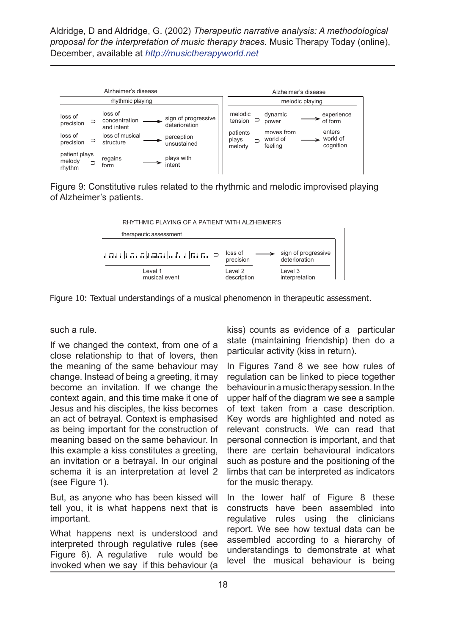

Figure 9: Constitutive rules related to the rhythmic and melodic improvised playing of Alzheimer's patients.



Figure 10: Textual understandings of a musical phenomenon in therapeutic assessment.

#### such a rule.

If we changed the context, from one of a close relationship to that of lovers, then the meaning of the same behaviour may change. Instead of being a greeting, it may become an invitation. If we change the context again, and this time make it one of Jesus and his disciples, the kiss becomes an act of betrayal. Context is emphasised as being important for the construction of meaning based on the same behaviour. In this example a kiss constitutes a greeting. an invitation or a betrayal. In our original schema it is an interpretation at level 2 (see Figure 1).

But, as anyone who has been kissed will tell you, it is what happens next that is important.

What happens next is understood and interpreted through regulative rules (see Figure 6). A regulative rule would be invoked when we say if this behaviour (a kiss) counts as evidence of a particular state (maintaining friendship) then do a particular activity (kiss in return).

In Figures 7 and 8 we see how rules of regulation can be linked to piece together behaviour in a music therapy session. In the upper half of the diagram we see a sample of text taken from a case description. Key words are highlighted and noted as relevant constructs. We can read that personal connection is important, and that there are certain behavioural indicators such as posture and the positioning of the limbs that can be interpreted as indicators for the music therapy.

In the lower half of Figure 8 these constructs have been assembled into regulative rules using the clinicians report. We see how textual data can be assembled according to a hierarchy of understandings to demonstrate at what level the musical behaviour is being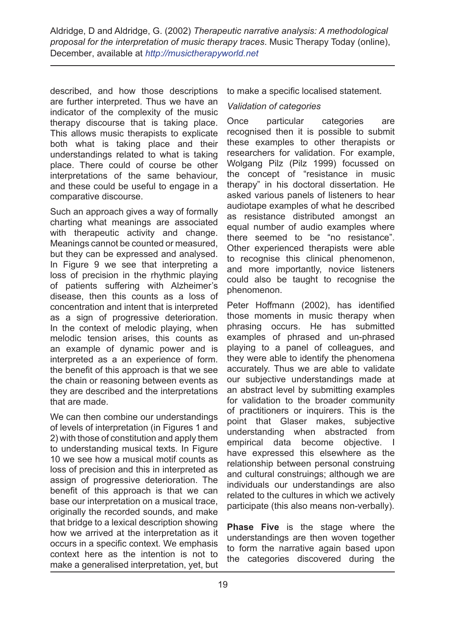described, and how those descriptions are further interpreted. Thus we have an indicator of the complexity of the music therapy discourse that is taking place. This allows music therapists to explicate both what is taking place and their understandings related to what is taking place. There could of course be other interpretations of the same behaviour, and these could be useful to engage in a comparative discourse.

Such an approach gives a way of formally charting what meanings are associated with therapeutic activity and change. Meanings cannot be counted or measured, but they can be expressed and analysed. In Figure 9 we see that interpreting a loss of precision in the rhythmic playing of patients suffering with Alzheimer's disease, then this counts as a loss of concentration and intent that is interpreted as a sign of progressive deterioration. In the context of melodic playing, when melodic tension arises, this counts as an example of dynamic power and is interpreted as a an experience of form. the benefit of this approach is that we see the chain or reasoning between events as they are described and the interpretations that are made.

We can then combine our understandings of levels of interpretation (in Figures 1 and 2) with those of constitution and apply them to understanding musical texts. In Figure 10 we see how a musical motif counts as loss of precision and this in interpreted as assign of progressive deterioration. The benefit of this approach is that we can base our interpretation on a musical trace, originally the recorded sounds, and make that bridge to a lexical description showing how we arrived at the interpretation as it occurs in a specific context. We emphasis context here as the intention is not to make a generalised interpretation, yet, but

to make a specific localised statement.

#### *Validation of categories*

Once particular categories are recognised then it is possible to submit these examples to other therapists or researchers for validation. For example, Wolgang Pilz (Pilz 1999) focussed on the concept of "resistance in music therapy" in his doctoral dissertation. He asked various panels of listeners to hear audiotape examples of what he described as resistance distributed amongst an equal number of audio examples where there seemed to be "no resistance". Other experienced therapists were able to recognise this clinical phenomenon, and more importantly, novice listeners could also be taught to recognise the phenomenon.

Peter Hoffmann (2002), has identified those moments in music therapy when phrasing occurs. He has submitted examples of phrased and un-phrased playing to a panel of colleagues, and they were able to identify the phenomena accurately. Thus we are able to validate our subjective understandings made at an abstract level by submitting examples for validation to the broader community of practitioners or inquirers. This is the point that Glaser makes, subjective understanding when abstracted from empirical data become objective. have expressed this elsewhere as the relationship between personal construing and cultural construings; although we are individuals our understandings are also related to the cultures in which we actively participate (this also means non-verbally).

**Phase Five** is the stage where the understandings are then woven together to form the narrative again based upon the categories discovered during the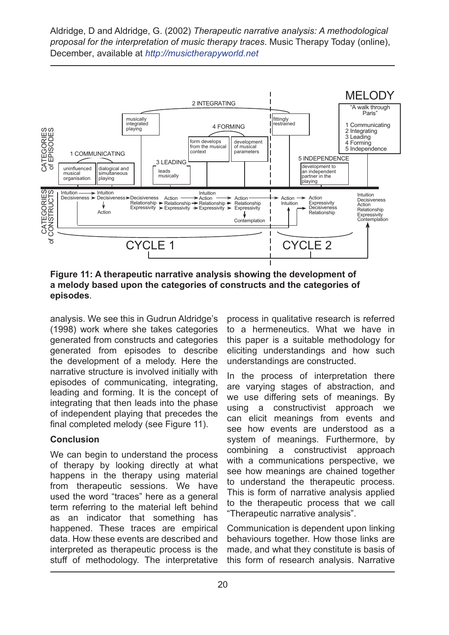

Figure 11: A therapeutic narrative analysis showing the development of a melody based upon the categories of constructs and the categories of episodes.

analysis. We see this in Gudrun Aldridge's (1998) work where she takes categories generated from constructs and categories generated from episodes to describe the development of a melody. Here the narrative structure is involved initially with episodes of communicating, integrating, leading and forming. It is the concept of integrating that then leads into the phase of independent playing that precedes the final completed melody (see Figure 11).

#### **Conclusion**

We can begin to understand the process of therapy by looking directly at what happens in the therapy using material from therapeutic sessions. We have used the word "traces" here as a general term referring to the material left behind as an indicator that something has happened. These traces are empirical data. How these events are described and interpreted as therapeutic process is the stuff of methodology. The interpretative

process in qualitative research is referred to a hermeneutics. What we have in this paper is a suitable methodology for eliciting understandings and how such understandings are constructed.

In the process of interpretation there are varving stages of abstraction, and we use differing sets of meanings. By constructivist approach we using a can elicit meanings from events and see how events are understood as a system of meanings. Furthermore, by constructivist combining a approach with a communications perspective, we see how meanings are chained together to understand the therapeutic process. This is form of narrative analysis applied to the therapeutic process that we call "Therapeutic narrative analysis".

Communication is dependent upon linking behaviours together. How those links are made, and what they constitute is basis of this form of research analysis. Narrative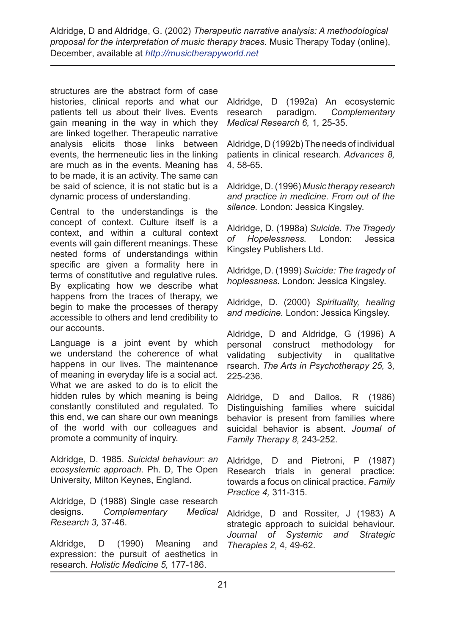structures are the abstract form of case histories, clinical reports and what our patients tell us about their lives. Events gain meaning in the way in which they are linked together. Therapeutic narrative analysis elicits those links between events, the hermeneutic lies in the linking are much as in the events. Meaning has to be made, it is an activity. The same can be said of science, it is not static but is a dynamic process of understanding.

Central to the understandings is the concept of context. Culture itself is a context, and within a cultural context events will gain different meanings. These nested forms of understandings within specific are given a formality here in terms of constitutive and regulative rules. By explicating how we describe what happens from the traces of therapy, we begin to make the processes of therapy accessible to others and lend credibility to our accounts.

Language is a joint event by which we understand the coherence of what happens in our lives. The maintenance of meaning in everyday life is a social act. What we are asked to do is to elicit the hidden rules by which meaning is being constantly constituted and regulated. To this end, we can share our own meanings of the world with our colleagues and promote a community of inquiry.

Aldridge, D. 1985. *Suicidal behaviour: an ecosystemic approach*. Ph. D, The Open University, Milton Keynes, England.

Aldridge, D (1988) Single case research designs. *Complementary Medical Research 3,* 37-46.

Aldridge, D (1990) Meaning and expression: the pursuit of aesthetics in research. *Holistic Medicine 5,* 177-186.

Aldridge, D (1992a) An ecosystemic research paradigm. *Complementary Medical Research 6,* 1*,* 25-35.

Aldridge, D (1992b) The needs of individual patients in clinical research. *Advances 8,*  4*,* 58-65.

Aldridge, D. (1996) *Music therapy research and practice in medicine. From out of the silence.* London: Jessica Kingsley.

Aldridge, D. (1998a) *Suicide. The Tragedy of Hopelessness.* London: Jessica Kingsley Publishers Ltd.

Aldridge, D. (1999) *Suicide: The tragedy of hoplessness.* London: Jessica Kingsley.

Aldridge, D. (2000) *Spirituality, healing and medicine.* London: Jessica Kingsley.

Aldridge, D and Aldridge, G (1996) A personal construct methodology for validating subjectivity in qualitative rsearch. *The Arts in Psychotherapy 25,* 3*,*  225-236.

Aldridge, D and Dallos, R (1986) Distinguishing families where suicidal behavior is present from families where suicidal behavior is absent. *Journal of Family Therapy 8,* 243-252.

Aldridge, D and Pietroni, P (1987) Research trials in general practice: towards a focus on clinical practice. *Family Practice 4,* 311-315.

Aldridge, D and Rossiter, J (1983) A strategic approach to suicidal behaviour. *Journal of Systemic and Strategic Therapies 2,* 4*,* 49-62.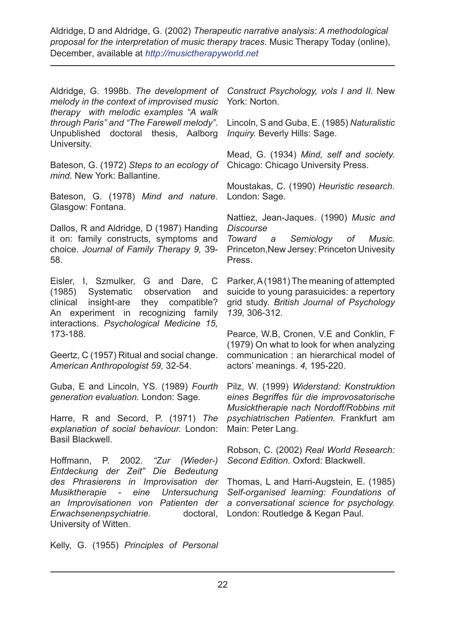Aldridge, G. 1998b. *The development of melody in the context of improvised music therapy with melodic examples "A walk through Paris" and "The Farewell melody".* Unpublished doctoral thesis, Aalborg University.

Bateson, G. (1972) *Steps to an ecology of mind.* New York: Ballantine.

Bateson, G. (1978) *Mind and nature.*  Glasgow: Fontana.

Dallos, R and Aldridge, D (1987) Handing it on: family constructs, symptoms and choice. *Journal of Family Therapy 9,* 39- 58.

Eisler, I, Szmulker, G and Dare, C (1985) Systematic observation and clinical insight-are they compatible? An experiment in recognizing family interactions. *Psychological Medicine 15,*  173-188.

Geertz, C (1957) Ritual and social change. *American Anthropologist 59,* 32-54.

Guba, E and Lincoln, YS. (1989) *Fourth generation evaluation.* London: Sage.

Harre, R and Secord, P. (1971) *The explanation of social behaviour.* London: Basil Blackwell.

Hoffmann, P. 2002. *"Zur (Wieder-) Entdeckung der Zeit" Die Bedeutung des Phrasierens in Improvisation der Musiktherapie - eine Untersuchung an Improvisationen von Patienten der Erwachsenenpsychiatrie.* doctoral, University of Witten.

Kelly, G. (1955) *Principles of Personal* 

*Construct Psychology, vols I and II.* New York: Norton.

Lincoln, S and Guba, E. (1985) *Naturalistic Inquiry.* Beverly Hills: Sage.

Mead, G. (1934) *Mind, self and society.*  Chicago: Chicago University Press.

Moustakas, C. (1990) *Heuristic research.*  London: Sage.

Nattiez, Jean-Jaques. (1990) *Music and Discourse*

*Toward a Semiology of Music.*  Princeton,New Jersey: Princeton Univesity Press.

Parker, A (1981) The meaning of attempted suicide to young parasuicides: a repertory grid study. *British Journal of Psychology 139,* 306-312.

Pearce, W.B, Cronen, V.E and Conklin, F (1979) On what to look for when analyzing communication : an hierarchical model of actors' meanings. *4,* 195-220.

Pilz, W. (1999) *Widerstand: Konstruktion eines Begriffes für die improvosatorische Musicktherapie nach Nordoff/Robbins mit psychiatrischen Patienten.* Frankfurt am Main: Peter Lang.

Robson, C. (2002) *Real World Research: Second Edition.* Oxford: Blackwell.

Thomas, L and Harri-Augstein, E. (1985) *Self-organised learning: Foundations of a conversational science for psychology.*  London: Routledge & Kegan Paul.